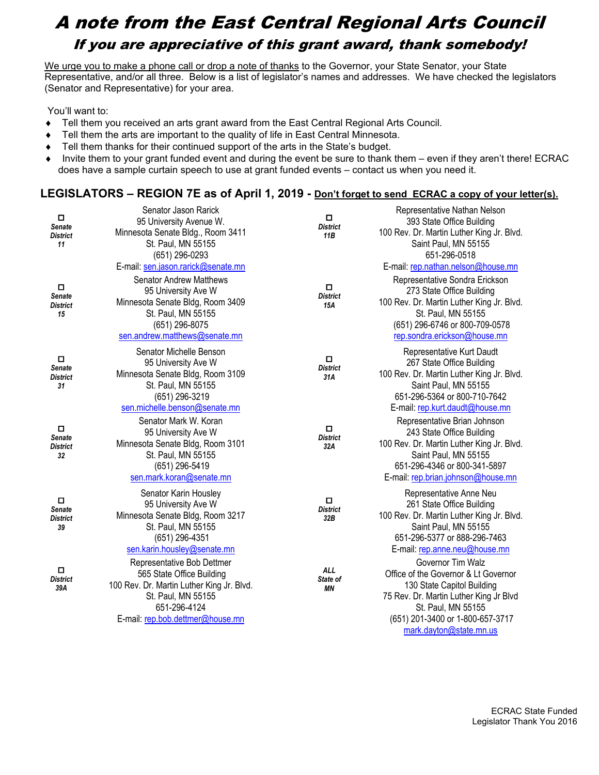## A note from the East Central Regional Arts Council If you are appreciative of this grant award, thank somebody!

We urge you to make a phone call or drop a note of thanks to the Governor, your State Senator, your State Representative, and/or all three. Below is a list of legislator's names and addresses. We have checked the legislators (Senator and Representative) for your area.

You'll want to:

- ♦ Tell them you received an arts grant award from the East Central Regional Arts Council.
- ♦ Tell them the arts are important to the quality of life in East Central Minnesota.
- ♦ Tell them thanks for their continued support of the arts in the State's budget.
- ♦ Invite them to your grant funded event and during the event be sure to thank them even if they aren't there! ECRAC does have a sample curtain speech to use at grant funded events – contact us when you need it.

## **LEGISLATORS – REGION 7E as of April 1, 2019 - Don't forget to send ECRAC a copy of your letter(s).**

| □<br>Senate<br><b>District</b><br>11      | Senator Jason Rarick<br>95 University Avenue W.<br>Minnesota Senate Bldg., Room 3411<br>St. Paul, MN 55155<br>(651) 296-0293                                                                             | о<br><b>District</b><br>11B  | Representative Nathan Nelson<br>393 State Office Building<br>100 Rev. Dr. Martin Luther King Jr. Blvd.<br>Saint Paul, MN 55155<br>651-296-0518                                                                                         |
|-------------------------------------------|----------------------------------------------------------------------------------------------------------------------------------------------------------------------------------------------------------|------------------------------|----------------------------------------------------------------------------------------------------------------------------------------------------------------------------------------------------------------------------------------|
| $\Box$<br>Senate<br><b>District</b><br>15 | E-mail: sen.jason.rarick@senate.mn<br><b>Senator Andrew Matthews</b><br>95 University Ave W<br>Minnesota Senate Bldg, Room 3409<br>St. Paul, MN 55155<br>(651) 296-8075<br>sen.andrew.matthews@senate.mn | □<br><b>District</b><br>15A  | E-mail: rep.nathan.nelson@house.mn<br>Representative Sondra Erickson<br>273 State Office Building<br>100 Rev. Dr. Martin Luther King Jr. Blvd.<br>St. Paul, MN 55155<br>(651) 296-6746 or 800-709-0578<br>rep.sondra.erickson@house.mn |
| 0<br>Senate<br><b>District</b><br>31      | Senator Michelle Benson<br>95 University Ave W<br>Minnesota Senate Bldg, Room 3109<br>St. Paul, MN 55155<br>(651) 296-3219<br>sen.michelle.benson@senate.mn                                              | о<br><b>District</b><br>31A  | Representative Kurt Daudt<br>267 State Office Building<br>100 Rev. Dr. Martin Luther King Jr. Blvd.<br>Saint Paul, MN 55155<br>651-296-5364 or 800-710-7642<br>E-mail: rep.kurt.daudt@house.mn                                         |
| 0<br>Senate<br><b>District</b><br>32      | Senator Mark W. Koran<br>95 University Ave W<br>Minnesota Senate Bldg, Room 3101<br>St. Paul, MN 55155<br>(651) 296-5419<br>sen.mark.koran@senate.mn                                                     | о<br><b>District</b><br>32A  | Representative Brian Johnson<br>243 State Office Building<br>100 Rev. Dr. Martin Luther King Jr. Blvd.<br>Saint Paul, MN 55155<br>651-296-4346 or 800-341-5897<br>E-mail: rep.brian.johnson@house.mn                                   |
| П<br>Senate<br><b>District</b><br>39      | Senator Karin Housley<br>95 University Ave W<br>Minnesota Senate Bldg, Room 3217<br>St. Paul, MN 55155<br>(651) 296-4351<br>sen.karin.housley@senate.mn                                                  | О<br><b>District</b><br>32B  | Representative Anne Neu<br>261 State Office Building<br>100 Rev. Dr. Martin Luther King Jr. Blvd.<br>Saint Paul, MN 55155<br>651-296-5377 or 888-296-7463<br>E-mail: rep.anne.neu@house.mn                                             |
| o<br><b>District</b><br>39A               | Representative Bob Dettmer<br>565 State Office Building<br>100 Rev. Dr. Martin Luther King Jr. Blvd.<br>St. Paul, MN 55155<br>651-296-4124<br>E-mail: rep.bob.dettmer@house.mn                           | <b>ALL</b><br>State of<br>ΜN | Governor Tim Walz<br>Office of the Governor & Lt Governor<br>130 State Capitol Building<br>75 Rev. Dr. Martin Luther King Jr Blvd<br>St. Paul, MN 55155<br>(651) 201-3400 or 1-800-657-3717<br>mark.dayton@state.mn.us                 |